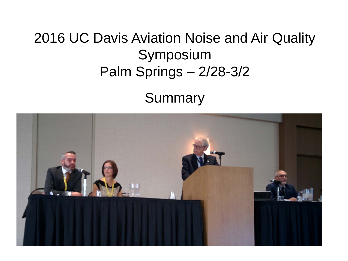### 2016 UC Davis Aviation Noise and Air Quality Symposium Palm Springs – 2/28-3/2

Summary

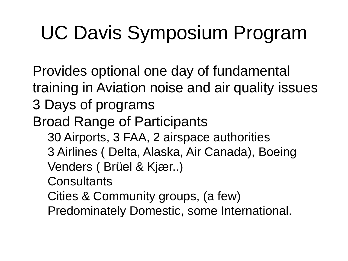# UC Davis Symposium Program

 Provides optional one day of fundamental training in Aviation noise and air quality issues 3 Days of programs Broad Range of Participants − 30 Airports, 3 FAA, 2 airspace authorities 3 Airlines ( Delta, Alaska, Air Canada), Boeing − Venders ( Brüel & Kjær..) − Consultants − Cities & Community groups, (a few) − Predominately Domestic, some International.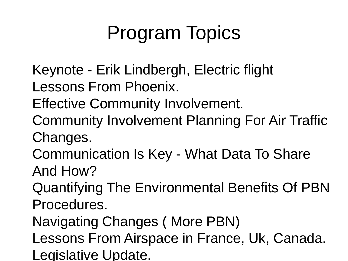# Program Topics

- Keynote Erik Lindbergh, Electric flight Lessons From Phoenix.
- Effective Community Involvement.
- Community Involvement Planning For Air Traffic Changes.
- Communication Is Key What Data To Share And How?
- Quantifying The Environmental Benefits Of PBN Procedures.
- Navigating Changes ( More PBN)
- Lessons From Airspace in France, Uk, Canada. Legislative Update.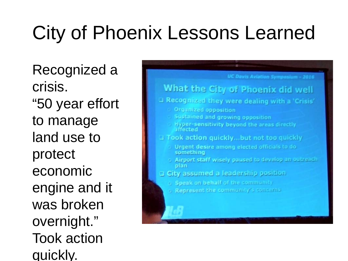# City of Phoenix Lessons Learned

 Recognized a crisis. "50 year effort to manage land use to protect economic engine and it was broken overnight." Took action quickly.

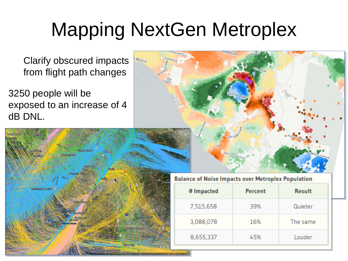## Mapping NextGen Metroplex

 Clarify obscured impacts from flight path changes

3250 people will be exposed to an increase of 4 dB DNL.



#### **Balance of Noise Impacts over Metroplex Population**

| # Impacted | Percent | <b>Result</b> |
|------------|---------|---------------|
| 7,515,658  | 39%     | Quieter       |
| 3,088,078  | 16%     | The same      |
| 8,655,337  | 45%     | Louder        |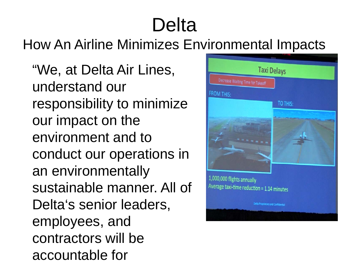## Delta

### How An Airline Minimizes Environmental Impacts

 "We, at Delta Air Lines, understand our responsibility to minimize our impact on the environment and to conduct our operations in an environmentally sustainable manner. All of Delta's senior leaders, employees, and contractors will be accountable for

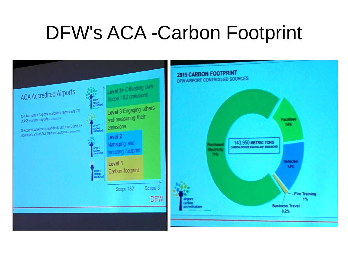### DFW's ACA -Carbon Footprint